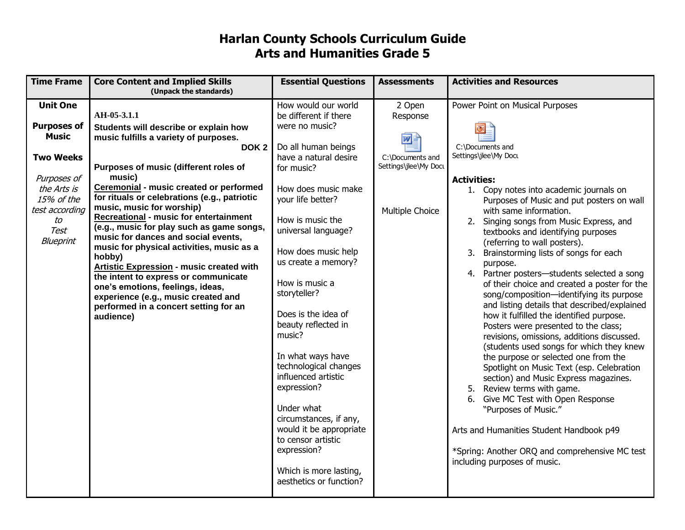## **Harlan County Schools Curriculum Guide Arts and Humanities Grade 5**

| <b>Time Frame</b>                  | <b>Core Content and Implied Skills</b><br>(Unpack the standards)               | <b>Essential Questions</b>                 | <b>Assessments</b>    | <b>Activities and Resources</b>                                                             |
|------------------------------------|--------------------------------------------------------------------------------|--------------------------------------------|-----------------------|---------------------------------------------------------------------------------------------|
| <b>Unit One</b>                    |                                                                                | How would our world                        | 2 Open                | Power Point on Musical Purposes                                                             |
|                                    | AH-05-3.1.1                                                                    | be different if there<br>were no music?    | Response              |                                                                                             |
| <b>Purposes of</b><br><b>Music</b> | Students will describe or explain how<br>music fulfills a variety of purposes. |                                            |                       |                                                                                             |
|                                    | DOK <sub>2</sub>                                                               | Do all human beings                        | wĿ                    | C:\Documents and                                                                            |
| <b>Two Weeks</b>                   |                                                                                | have a natural desire                      | C:\Documents and      | Settings\jlee\My Docu                                                                       |
|                                    | Purposes of music (different roles of                                          | for music?                                 | Settings\jlee\My Docu |                                                                                             |
| Purposes of                        | music)                                                                         |                                            |                       | <b>Activities:</b>                                                                          |
| the Arts is                        | Ceremonial - music created or performed                                        | How does music make                        |                       | 1. Copy notes into academic journals on                                                     |
| 15% of the                         | for rituals or celebrations (e.g., patriotic                                   | your life better?                          |                       | Purposes of Music and put posters on wall                                                   |
| test according                     | music, music for worship)<br><b>Recreational - music for entertainment</b>     |                                            | Multiple Choice       | with same information.                                                                      |
| to                                 | (e.g., music for play such as game songs,                                      | How is music the                           |                       | 2. Singing songs from Music Express, and                                                    |
| Test                               | music for dances and social events,                                            | universal language?                        |                       | textbooks and identifying purposes                                                          |
| Blueprint                          | music for physical activities, music as a                                      |                                            |                       | (referring to wall posters).                                                                |
|                                    | hobby)                                                                         | How does music help<br>us create a memory? |                       | Brainstorming lists of songs for each<br>3.                                                 |
|                                    | Artistic Expression - music created with                                       |                                            |                       | purpose.                                                                                    |
|                                    | the intent to express or communicate                                           | How is music a                             |                       | 4. Partner posters-students selected a song<br>of their choice and created a poster for the |
|                                    | one's emotions, feelings, ideas,                                               | storyteller?                               |                       | song/composition-identifying its purpose                                                    |
|                                    | experience (e.g., music created and<br>performed in a concert setting for an   |                                            |                       | and listing details that described/explained                                                |
|                                    | audience)                                                                      | Does is the idea of                        |                       | how it fulfilled the identified purpose.                                                    |
|                                    |                                                                                | beauty reflected in                        |                       | Posters were presented to the class;                                                        |
|                                    |                                                                                | music?                                     |                       | revisions, omissions, additions discussed.                                                  |
|                                    |                                                                                |                                            |                       | (students used songs for which they knew                                                    |
|                                    |                                                                                | In what ways have                          |                       | the purpose or selected one from the                                                        |
|                                    |                                                                                | technological changes                      |                       | Spotlight on Music Text (esp. Celebration                                                   |
|                                    |                                                                                | influenced artistic                        |                       | section) and Music Express magazines.                                                       |
|                                    |                                                                                | expression?                                |                       | 5. Review terms with game.                                                                  |
|                                    |                                                                                | Under what                                 |                       | Give MC Test with Open Response<br>6.                                                       |
|                                    |                                                                                | circumstances, if any,                     |                       | "Purposes of Music."                                                                        |
|                                    |                                                                                | would it be appropriate                    |                       | Arts and Humanities Student Handbook p49                                                    |
|                                    |                                                                                | to censor artistic                         |                       |                                                                                             |
|                                    |                                                                                | expression?                                |                       | *Spring: Another ORQ and comprehensive MC test                                              |
|                                    |                                                                                |                                            |                       | including purposes of music.                                                                |
|                                    |                                                                                | Which is more lasting,                     |                       |                                                                                             |
|                                    |                                                                                | aesthetics or function?                    |                       |                                                                                             |
|                                    |                                                                                |                                            |                       |                                                                                             |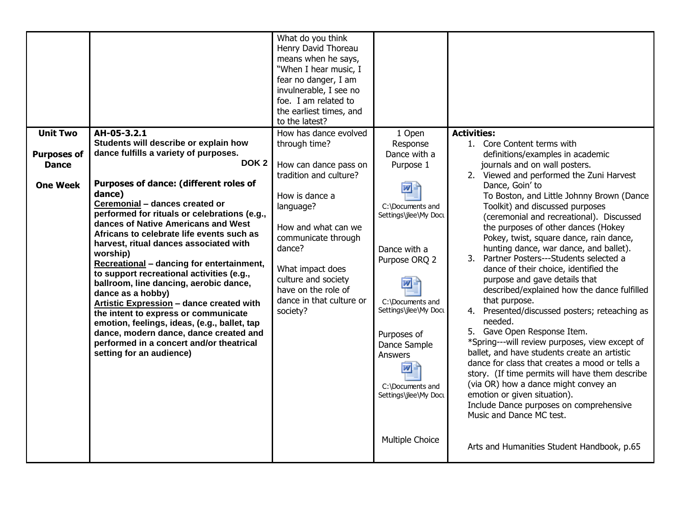| <b>Unit Two</b>    | AH-05-3.2.1                                                                                                                                                                                                                                                                                                                                                                                                                                                                                                                                                                                                                                                                                 | What do you think<br>Henry David Thoreau<br>means when he says,<br>"When I hear music, I<br>fear no danger, I am<br>invulnerable, I see no<br>foe. I am related to<br>the earliest times, and<br>to the latest?<br>How has dance evolved | 1 Open                                                                                                                                                                                                                      | <b>Activities:</b>                                                                                                                                                                                                                                                                                                                                                                                                                                                                                                                                                                                                                                                                                                                                                                                                                                                                                                                                         |
|--------------------|---------------------------------------------------------------------------------------------------------------------------------------------------------------------------------------------------------------------------------------------------------------------------------------------------------------------------------------------------------------------------------------------------------------------------------------------------------------------------------------------------------------------------------------------------------------------------------------------------------------------------------------------------------------------------------------------|------------------------------------------------------------------------------------------------------------------------------------------------------------------------------------------------------------------------------------------|-----------------------------------------------------------------------------------------------------------------------------------------------------------------------------------------------------------------------------|------------------------------------------------------------------------------------------------------------------------------------------------------------------------------------------------------------------------------------------------------------------------------------------------------------------------------------------------------------------------------------------------------------------------------------------------------------------------------------------------------------------------------------------------------------------------------------------------------------------------------------------------------------------------------------------------------------------------------------------------------------------------------------------------------------------------------------------------------------------------------------------------------------------------------------------------------------|
|                    | Students will describe or explain how                                                                                                                                                                                                                                                                                                                                                                                                                                                                                                                                                                                                                                                       | through time?                                                                                                                                                                                                                            | Response                                                                                                                                                                                                                    | 1. Core Content terms with                                                                                                                                                                                                                                                                                                                                                                                                                                                                                                                                                                                                                                                                                                                                                                                                                                                                                                                                 |
| <b>Purposes of</b> | dance fulfills a variety of purposes.                                                                                                                                                                                                                                                                                                                                                                                                                                                                                                                                                                                                                                                       |                                                                                                                                                                                                                                          | Dance with a                                                                                                                                                                                                                | definitions/examples in academic                                                                                                                                                                                                                                                                                                                                                                                                                                                                                                                                                                                                                                                                                                                                                                                                                                                                                                                           |
| <b>Dance</b>       | DOK <sub>2</sub>                                                                                                                                                                                                                                                                                                                                                                                                                                                                                                                                                                                                                                                                            | How can dance pass on                                                                                                                                                                                                                    | Purpose 1                                                                                                                                                                                                                   | journals and on wall posters.                                                                                                                                                                                                                                                                                                                                                                                                                                                                                                                                                                                                                                                                                                                                                                                                                                                                                                                              |
| <b>One Week</b>    | Purposes of dance: (different roles of<br>dance)<br>Ceremonial - dances created or<br>performed for rituals or celebrations (e.g.,<br>dances of Native Americans and West<br>Africans to celebrate life events such as<br>harvest, ritual dances associated with<br>worship)<br>Recreational - dancing for entertainment,<br>to support recreational activities (e.g.,<br>ballroom, line dancing, aerobic dance,<br>dance as a hobby)<br>Artistic Expression - dance created with<br>the intent to express or communicate<br>emotion, feelings, ideas, (e.g., ballet, tap<br>dance, modern dance, dance created and<br>performed in a concert and/or theatrical<br>setting for an audience) | tradition and culture?<br>How is dance a<br>language?<br>How and what can we<br>communicate through<br>dance?<br>What impact does<br>culture and society<br>have on the role of<br>dance in that culture or<br>society?                  | C:\Documents and<br>Settings\jlee\My Docu<br>Dance with a<br>Purpose ORQ 2<br>C:\Documents and<br>Settings\jlee\My Docu<br>Purposes of<br>Dance Sample<br><b>Answers</b><br>四目<br>C:\Documents and<br>Settings\jlee\My Docu | 2. Viewed and performed the Zuni Harvest<br>Dance, Goin' to<br>To Boston, and Little Johnny Brown (Dance<br>Toolkit) and discussed purposes<br>(ceremonial and recreational). Discussed<br>the purposes of other dances (Hokey<br>Pokey, twist, square dance, rain dance,<br>hunting dance, war dance, and ballet).<br>3. Partner Posters---Students selected a<br>dance of their choice, identified the<br>purpose and gave details that<br>described/explained how the dance fulfilled<br>that purpose.<br>4. Presented/discussed posters; reteaching as<br>needed.<br>5. Gave Open Response Item.<br>*Spring---will review purposes, view except of<br>ballet, and have students create an artistic<br>dance for class that creates a mood or tells a<br>story. (If time permits will have them describe<br>(via OR) how a dance might convey an<br>emotion or given situation).<br>Include Dance purposes on comprehensive<br>Music and Dance MC test. |
|                    |                                                                                                                                                                                                                                                                                                                                                                                                                                                                                                                                                                                                                                                                                             |                                                                                                                                                                                                                                          | Multiple Choice                                                                                                                                                                                                             | Arts and Humanities Student Handbook, p.65                                                                                                                                                                                                                                                                                                                                                                                                                                                                                                                                                                                                                                                                                                                                                                                                                                                                                                                 |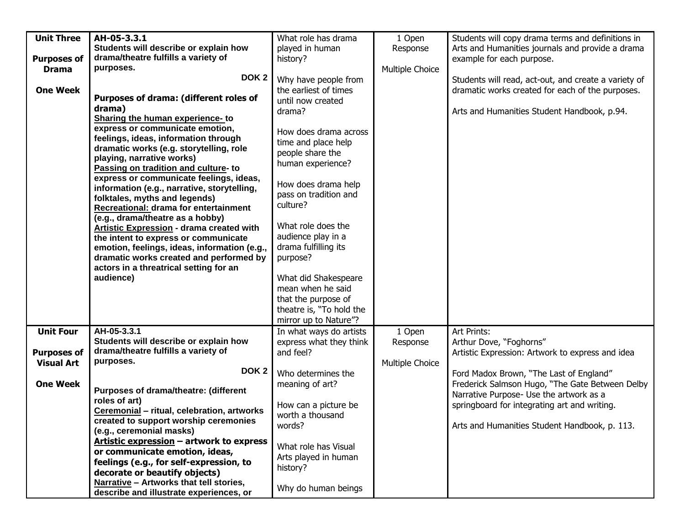| <b>Unit Three</b>  | AH-05-3.3.1                                     | What role has drama      | 1 Open          | Students will copy drama terms and definitions in    |
|--------------------|-------------------------------------------------|--------------------------|-----------------|------------------------------------------------------|
|                    | Students will describe or explain how           | played in human          | Response        | Arts and Humanities journals and provide a drama     |
| <b>Purposes of</b> | drama/theatre fulfills a variety of             | history?                 |                 | example for each purpose.                            |
| <b>Drama</b>       | purposes.                                       |                          | Multiple Choice |                                                      |
|                    | DOK <sub>2</sub>                                | Why have people from     |                 | Students will read, act-out, and create a variety of |
| <b>One Week</b>    |                                                 | the earliest of times    |                 | dramatic works created for each of the purposes.     |
|                    | Purposes of drama: (different roles of          | until now created        |                 |                                                      |
|                    | drama)                                          |                          |                 |                                                      |
|                    | Sharing the human experience-to                 | drama?                   |                 | Arts and Humanities Student Handbook, p.94.          |
|                    | express or communicate emotion,                 |                          |                 |                                                      |
|                    | feelings, ideas, information through            | How does drama across    |                 |                                                      |
|                    | dramatic works (e.g. storytelling, role         | time and place help      |                 |                                                      |
|                    | playing, narrative works)                       | people share the         |                 |                                                      |
|                    | Passing on tradition and culture- to            | human experience?        |                 |                                                      |
|                    | express or communicate feelings, ideas,         |                          |                 |                                                      |
|                    | information (e.g., narrative, storytelling,     | How does drama help      |                 |                                                      |
|                    | folktales, myths and legends)                   | pass on tradition and    |                 |                                                      |
|                    | Recreational: drama for entertainment           | culture?                 |                 |                                                      |
|                    | (e.g., drama/theatre as a hobby)                |                          |                 |                                                      |
|                    | <b>Artistic Expression - drama created with</b> | What role does the       |                 |                                                      |
|                    | the intent to express or communicate            | audience play in a       |                 |                                                      |
|                    |                                                 | drama fulfilling its     |                 |                                                      |
|                    | emotion, feelings, ideas, information (e.g.,    |                          |                 |                                                      |
|                    | dramatic works created and performed by         | purpose?                 |                 |                                                      |
|                    | actors in a threatrical setting for an          |                          |                 |                                                      |
|                    | audience)                                       | What did Shakespeare     |                 |                                                      |
|                    |                                                 | mean when he said        |                 |                                                      |
|                    |                                                 | that the purpose of      |                 |                                                      |
|                    |                                                 | theatre is, "To hold the |                 |                                                      |
|                    |                                                 | mirror up to Nature"?    |                 |                                                      |
| <b>Unit Four</b>   | AH-05-3.3.1                                     | In what ways do artists  | 1 Open          | Art Prints:                                          |
|                    | Students will describe or explain how           | express what they think  | Response        | Arthur Dove, "Foghorns"                              |
| <b>Purposes of</b> | drama/theatre fulfills a variety of             | and feel?                |                 | Artistic Expression: Artwork to express and idea     |
| <b>Visual Art</b>  | purposes.                                       |                          | Multiple Choice |                                                      |
|                    | DOK <sub>2</sub>                                | Who determines the       |                 | Ford Madox Brown, "The Last of England"              |
| <b>One Week</b>    |                                                 | meaning of art?          |                 | Frederick Salmson Hugo, "The Gate Between Delby      |
|                    | Purposes of drama/theatre: (different           |                          |                 | Narrative Purpose- Use the artwork as a              |
|                    | roles of art)                                   | How can a picture be     |                 | springboard for integrating art and writing.         |
|                    | Ceremonial - ritual, celebration, artworks      | worth a thousand         |                 |                                                      |
|                    | created to support worship ceremonies           | words?                   |                 | Arts and Humanities Student Handbook, p. 113.        |
|                    | (e.g., ceremonial masks)                        |                          |                 |                                                      |
|                    | Artistic expression - artwork to express        | What role has Visual     |                 |                                                      |
|                    | or communicate emotion, ideas,                  |                          |                 |                                                      |
|                    | feelings (e.g., for self-expression, to         | Arts played in human     |                 |                                                      |
|                    | decorate or beautify objects)                   | history?                 |                 |                                                      |
|                    | Narrative - Artworks that tell stories,         |                          |                 |                                                      |
|                    | describe and illustrate experiences, or         | Why do human beings      |                 |                                                      |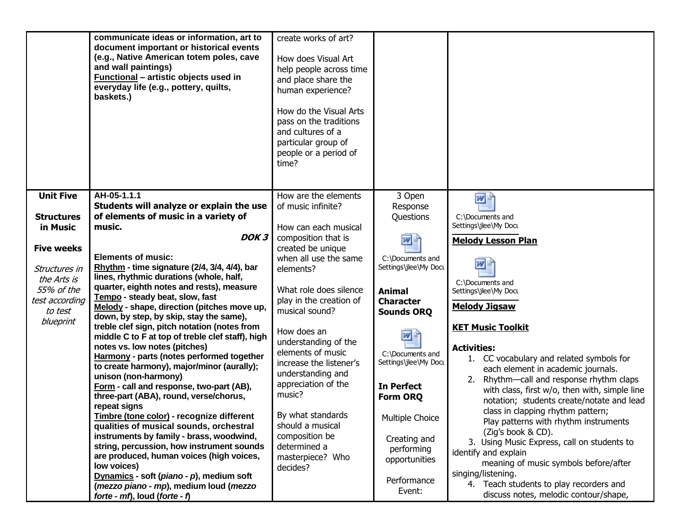|                               | communicate ideas or information, art to<br>document important or historical events<br>(e.g., Native American totem poles, cave<br>and wall paintings)<br>Functional - artistic objects used in<br>everyday life (e.g., pottery, quilts,<br>baskets.) | create works of art?<br>How does Visual Art<br>help people across time<br>and place share the<br>human experience?<br>How do the Visual Arts<br>pass on the traditions<br>and cultures of a<br>particular group of<br>people or a period of<br>time? |                             |                                                                                           |
|-------------------------------|-------------------------------------------------------------------------------------------------------------------------------------------------------------------------------------------------------------------------------------------------------|------------------------------------------------------------------------------------------------------------------------------------------------------------------------------------------------------------------------------------------------------|-----------------------------|-------------------------------------------------------------------------------------------|
| <b>Unit Five</b>              | AH-05-1.1.1                                                                                                                                                                                                                                           | How are the elements                                                                                                                                                                                                                                 | 3 Open                      | 网里                                                                                        |
|                               | Students will analyze or explain the use                                                                                                                                                                                                              | of music infinite?                                                                                                                                                                                                                                   | Response                    |                                                                                           |
| <b>Structures</b><br>in Music | of elements of music in a variety of<br>music.                                                                                                                                                                                                        | How can each musical                                                                                                                                                                                                                                 | Questions                   | C:\Documents and<br>Settings\jlee\My Docu                                                 |
|                               | DOK <sub>3</sub>                                                                                                                                                                                                                                      | composition that is                                                                                                                                                                                                                                  |                             |                                                                                           |
| <b>Five weeks</b>             |                                                                                                                                                                                                                                                       | created be unique                                                                                                                                                                                                                                    | 四                           | <b>Melody Lesson Plan</b>                                                                 |
|                               | <b>Elements of music:</b>                                                                                                                                                                                                                             | when all use the same                                                                                                                                                                                                                                | C:\Documents and            |                                                                                           |
| Structures in                 | Rhythm - time signature (2/4, 3/4, 4/4), bar                                                                                                                                                                                                          | elements?                                                                                                                                                                                                                                            | Settings\jlee\My Docu       | $W_{\parallel}$                                                                           |
| the Arts is                   | lines, rhythmic durations (whole, half,                                                                                                                                                                                                               |                                                                                                                                                                                                                                                      |                             | C:\Documents and                                                                          |
| 55% of the                    | quarter, eighth notes and rests), measure<br>Tempo - steady beat, slow, fast                                                                                                                                                                          | What role does silence                                                                                                                                                                                                                               | <b>Animal</b>               | Settings\jlee\My Docu                                                                     |
| test according                | Melody - shape, direction (pitches move up,                                                                                                                                                                                                           | play in the creation of                                                                                                                                                                                                                              | <b>Character</b>            | <b>Melody Jigsaw</b>                                                                      |
| to test                       | down, by step, by skip, stay the same),                                                                                                                                                                                                               | musical sound?                                                                                                                                                                                                                                       | <b>Sounds ORQ</b>           |                                                                                           |
| blueprint                     | treble clef sign, pitch notation (notes from                                                                                                                                                                                                          | How does an                                                                                                                                                                                                                                          |                             | <b>KET Music Toolkit</b>                                                                  |
|                               | middle C to F at top of treble clef staff), high                                                                                                                                                                                                      | understanding of the                                                                                                                                                                                                                                 | ਘ⊧                          |                                                                                           |
|                               | notes vs. low notes (pitches)                                                                                                                                                                                                                         | elements of music                                                                                                                                                                                                                                    | C:\Documents and            | <b>Activities:</b>                                                                        |
|                               | Harmony - parts (notes performed together<br>to create harmony), major/minor (aurally);                                                                                                                                                               | increase the listener's                                                                                                                                                                                                                              | Settings\jlee\My Docu       | 1. CC vocabulary and related symbols for                                                  |
|                               | unison (non-harmony)                                                                                                                                                                                                                                  | understanding and                                                                                                                                                                                                                                    |                             | each element in academic journals.                                                        |
|                               | Form - call and response, two-part (AB),                                                                                                                                                                                                              | appreciation of the                                                                                                                                                                                                                                  | <b>In Perfect</b>           | 2. Rhythm-call and response rhythm claps<br>with class, first w/o, then with, simple line |
|                               | three-part (ABA), round, verse/chorus,                                                                                                                                                                                                                | music?                                                                                                                                                                                                                                               | Form ORQ                    | notation; students create/notate and lead                                                 |
|                               | repeat signs                                                                                                                                                                                                                                          |                                                                                                                                                                                                                                                      |                             | class in clapping rhythm pattern;                                                         |
|                               | Timbre (tone color) - recognize different                                                                                                                                                                                                             | By what standards<br>should a musical                                                                                                                                                                                                                | Multiple Choice             | Play patterns with rhythm instruments                                                     |
|                               | qualities of musical sounds, orchestral<br>instruments by family - brass, woodwind,                                                                                                                                                                   | composition be                                                                                                                                                                                                                                       |                             | (Zig's book & CD).                                                                        |
|                               | string, percussion, how instrument sounds                                                                                                                                                                                                             | determined a                                                                                                                                                                                                                                         | Creating and                | 3. Using Music Express, call on students to                                               |
|                               | are produced, human voices (high voices,                                                                                                                                                                                                              | masterpiece? Who                                                                                                                                                                                                                                     | performing<br>opportunities | identify and explain                                                                      |
|                               | low voices)                                                                                                                                                                                                                                           | decides?                                                                                                                                                                                                                                             |                             | meaning of music symbols before/after                                                     |
|                               | Dynamics - soft (piano - p), medium soft                                                                                                                                                                                                              |                                                                                                                                                                                                                                                      | Performance                 | singing/listening.                                                                        |
|                               | (mezzo piano - mp), medium loud (mezzo                                                                                                                                                                                                                |                                                                                                                                                                                                                                                      | Event:                      | 4. Teach students to play recorders and<br>discuss notes, melodic contour/shape,          |
|                               | forte - $mf$ , loud (forte - $f$ )                                                                                                                                                                                                                    |                                                                                                                                                                                                                                                      |                             |                                                                                           |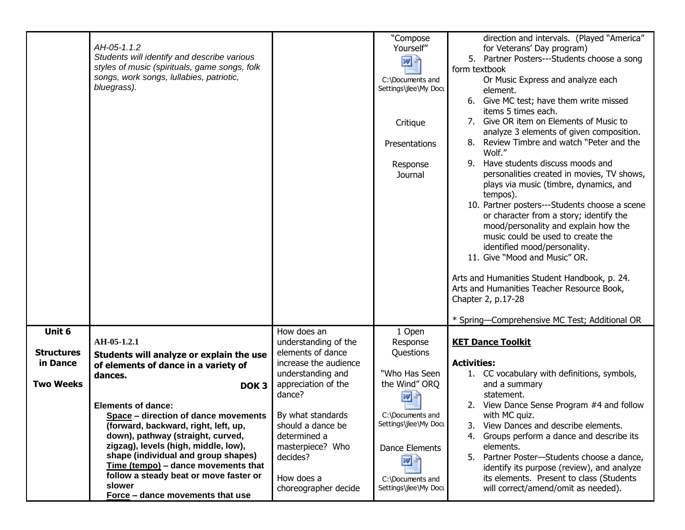|                   | AH-05-1.1.2<br>Students will identify and describe various<br>styles of music (spirituals, game songs, folk<br>songs, work songs, Iullabies, patriotic,<br>bluegrass). |                                            | "Compose<br>Yourself"<br>四<br>C:\Documents and<br>Settings\jlee\My Docu<br>Critique<br>Presentations<br>Response<br>Journal | direction and intervals. (Played "America"<br>for Veterans' Day program)<br>5. Partner Posters---Students choose a song<br>form textbook<br>Or Music Express and analyze each<br>element.<br>6. Give MC test; have them write missed<br>items 5 times each.<br>7. Give OR item on Elements of Music to<br>analyze 3 elements of given composition.<br>Review Timbre and watch "Peter and the<br>8.<br>Wolf."<br>Have students discuss moods and<br>9.<br>personalities created in movies, TV shows,<br>plays via music (timbre, dynamics, and<br>tempos).<br>10. Partner posters---Students choose a scene<br>or character from a story; identify the<br>mood/personality and explain how the<br>music could be used to create the<br>identified mood/personality.<br>11. Give "Mood and Music" OR.<br>Arts and Humanities Student Handbook, p. 24.<br>Arts and Humanities Teacher Resource Book,<br>Chapter 2, p.17-28<br>* Spring-Comprehensive MC Test; Additional OR |
|-------------------|------------------------------------------------------------------------------------------------------------------------------------------------------------------------|--------------------------------------------|-----------------------------------------------------------------------------------------------------------------------------|--------------------------------------------------------------------------------------------------------------------------------------------------------------------------------------------------------------------------------------------------------------------------------------------------------------------------------------------------------------------------------------------------------------------------------------------------------------------------------------------------------------------------------------------------------------------------------------------------------------------------------------------------------------------------------------------------------------------------------------------------------------------------------------------------------------------------------------------------------------------------------------------------------------------------------------------------------------------------|
| Unit 6            | AH-05-1.2.1                                                                                                                                                            | How does an<br>understanding of the        | 1 Open<br>Response                                                                                                          | <b>KET Dance Toolkit</b>                                                                                                                                                                                                                                                                                                                                                                                                                                                                                                                                                                                                                                                                                                                                                                                                                                                                                                                                                 |
| <b>Structures</b> | Students will analyze or explain the use                                                                                                                               | elements of dance                          | Questions                                                                                                                   |                                                                                                                                                                                                                                                                                                                                                                                                                                                                                                                                                                                                                                                                                                                                                                                                                                                                                                                                                                          |
| in Dance          | of elements of dance in a variety of<br>dances.                                                                                                                        | increase the audience<br>understanding and | "Who Has Seen                                                                                                               | <b>Activities:</b><br>1. CC vocabulary with definitions, symbols,                                                                                                                                                                                                                                                                                                                                                                                                                                                                                                                                                                                                                                                                                                                                                                                                                                                                                                        |
| <b>Two Weeks</b>  | DOK <sub>3</sub>                                                                                                                                                       | appreciation of the<br>dance?              | the Wind" ORQ<br>$\overline{w}$                                                                                             | and a summary<br>statement.                                                                                                                                                                                                                                                                                                                                                                                                                                                                                                                                                                                                                                                                                                                                                                                                                                                                                                                                              |
|                   | <b>Elements of dance:</b>                                                                                                                                              |                                            |                                                                                                                             | 2. View Dance Sense Program #4 and follow                                                                                                                                                                                                                                                                                                                                                                                                                                                                                                                                                                                                                                                                                                                                                                                                                                                                                                                                |
|                   | <b>Space</b> – direction of dance movements $\vert$ By what standards<br>(forward, backward, right, left, up,                                                          | should a dance be                          | C:\Documents and<br>Settings\jlee\My Docu                                                                                   | with MC quiz.<br>3. View Dances and describe elements.                                                                                                                                                                                                                                                                                                                                                                                                                                                                                                                                                                                                                                                                                                                                                                                                                                                                                                                   |
|                   | down), pathway (straight, curved,<br>zigzag), levels (high, middle, low),                                                                                              | determined a                               |                                                                                                                             | 4. Groups perform a dance and describe its                                                                                                                                                                                                                                                                                                                                                                                                                                                                                                                                                                                                                                                                                                                                                                                                                                                                                                                               |
|                   | shape (individual and group shapes)                                                                                                                                    | masterpiece? Who<br>decides?               | Dance Elements<br>四節                                                                                                        | elements.<br>Partner Poster-Students choose a dance,<br>5.                                                                                                                                                                                                                                                                                                                                                                                                                                                                                                                                                                                                                                                                                                                                                                                                                                                                                                               |
|                   | Time (tempo) - dance movements that<br>follow a steady beat or move faster or                                                                                          |                                            |                                                                                                                             | identify its purpose (review), and analyze                                                                                                                                                                                                                                                                                                                                                                                                                                                                                                                                                                                                                                                                                                                                                                                                                                                                                                                               |
|                   | slower                                                                                                                                                                 | How does a<br>choreographer decide         | C:\Documents and<br>Settings\jlee\My Docu                                                                                   | its elements. Present to class (Students<br>will correct/amend/omit as needed).                                                                                                                                                                                                                                                                                                                                                                                                                                                                                                                                                                                                                                                                                                                                                                                                                                                                                          |
|                   | Force - dance movements that use                                                                                                                                       |                                            |                                                                                                                             |                                                                                                                                                                                                                                                                                                                                                                                                                                                                                                                                                                                                                                                                                                                                                                                                                                                                                                                                                                          |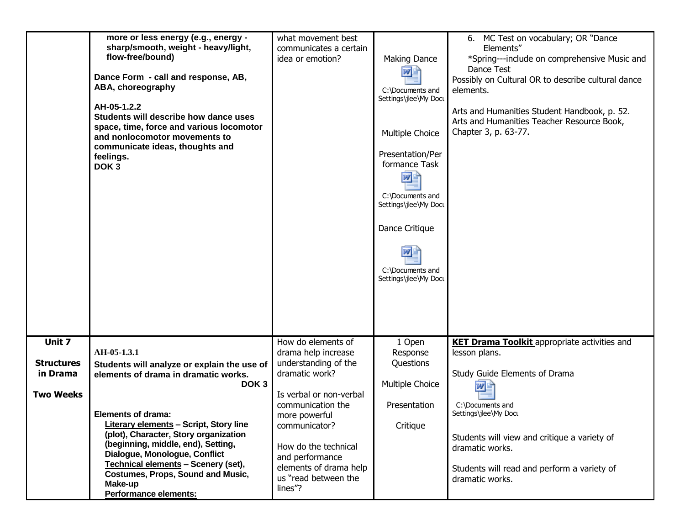|                   | more or less energy (e.g., energy -<br>sharp/smooth, weight - heavy/light,<br>flow-free/bound)<br>Dance Form - call and response, AB,<br>ABA, choreography<br>AH-05-1.2.2<br>Students will describe how dance uses<br>space, time, force and various locomotor<br>and nonlocomotor movements to<br>communicate ideas, thoughts and<br>feelings.<br>DOK <sub>3</sub> | what movement best<br>communicates a certain<br>idea or emotion? | <b>Making Dance</b><br>四目<br>C:\Documents and<br>Settings\jlee\My Docu<br>Multiple Choice<br>Presentation/Per<br>formance Task<br>网店<br>C:\Documents and<br>Settings\jlee\My Docu<br>Dance Critique<br>$W_{\pm}$<br>C:\Documents and<br>Settings\jlee\My Docu | 6. MC Test on vocabulary; OR "Dance<br>Elements"<br>*Spring---include on comprehensive Music and<br>Dance Test<br>Possibly on Cultural OR to describe cultural dance<br>elements.<br>Arts and Humanities Student Handbook, p. 52.<br>Arts and Humanities Teacher Resource Book,<br>Chapter 3, p. 63-77. |
|-------------------|---------------------------------------------------------------------------------------------------------------------------------------------------------------------------------------------------------------------------------------------------------------------------------------------------------------------------------------------------------------------|------------------------------------------------------------------|---------------------------------------------------------------------------------------------------------------------------------------------------------------------------------------------------------------------------------------------------------------|---------------------------------------------------------------------------------------------------------------------------------------------------------------------------------------------------------------------------------------------------------------------------------------------------------|
| Unit 7            | AH-05-1.3.1                                                                                                                                                                                                                                                                                                                                                         | How do elements of<br>drama help increase                        | 1 Open<br>Response                                                                                                                                                                                                                                            | <b>KET Drama Toolkit</b> appropriate activities and<br>lesson plans.                                                                                                                                                                                                                                    |
| <b>Structures</b> | Students will analyze or explain the use of                                                                                                                                                                                                                                                                                                                         | understanding of the                                             | Questions                                                                                                                                                                                                                                                     |                                                                                                                                                                                                                                                                                                         |
| in Drama          | elements of drama in dramatic works.<br>DOK <sub>3</sub>                                                                                                                                                                                                                                                                                                            | dramatic work?                                                   | Multiple Choice                                                                                                                                                                                                                                               | Study Guide Elements of Drama<br>W                                                                                                                                                                                                                                                                      |
| <b>Two Weeks</b>  |                                                                                                                                                                                                                                                                                                                                                                     | Is verbal or non-verbal<br>communication the                     | Presentation                                                                                                                                                                                                                                                  | C:\Documents and                                                                                                                                                                                                                                                                                        |
|                   | <b>Elements of drama:</b>                                                                                                                                                                                                                                                                                                                                           | more powerful                                                    |                                                                                                                                                                                                                                                               | Settings\jlee\My Docu                                                                                                                                                                                                                                                                                   |
|                   | <b>Literary elements - Script, Story line</b><br>(plot), Character, Story organization                                                                                                                                                                                                                                                                              | communicator?                                                    | Critique                                                                                                                                                                                                                                                      | Students will view and critique a variety of                                                                                                                                                                                                                                                            |
|                   | (beginning, middle, end), Setting,<br>Dialogue, Monologue, Conflict                                                                                                                                                                                                                                                                                                 | How do the technical                                             |                                                                                                                                                                                                                                                               | dramatic works.                                                                                                                                                                                                                                                                                         |
|                   | Technical elements - Scenery (set),                                                                                                                                                                                                                                                                                                                                 | and performance<br>elements of drama help                        |                                                                                                                                                                                                                                                               | Students will read and perform a variety of                                                                                                                                                                                                                                                             |
|                   | <b>Costumes, Props, Sound and Music,</b><br>Make-up                                                                                                                                                                                                                                                                                                                 | us "read between the                                             |                                                                                                                                                                                                                                                               | dramatic works.                                                                                                                                                                                                                                                                                         |
|                   | <b>Performance elements:</b>                                                                                                                                                                                                                                                                                                                                        | lines"?                                                          |                                                                                                                                                                                                                                                               |                                                                                                                                                                                                                                                                                                         |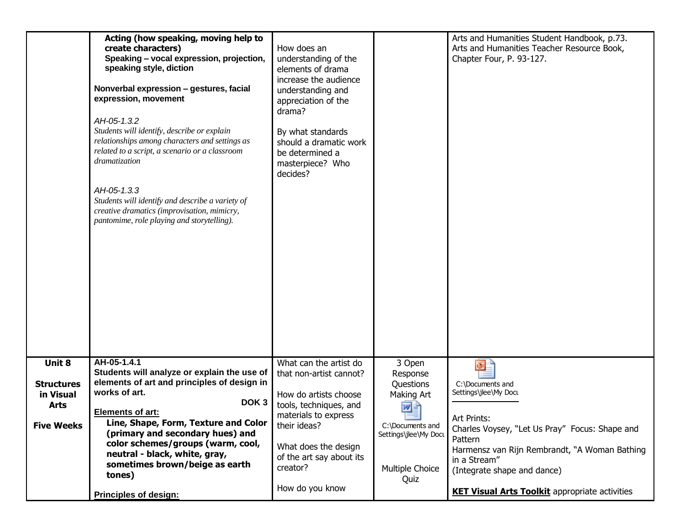| Students will identify, describe or explain                                  | relationships among characters and settings as<br>related to a script, a scenario or a classroom<br>dramatization<br>AH-05-1.3.3<br>Students will identify and describe a variety of<br>creative dramatics (improvisation, mimicry,<br>pantomime, role playing and storytelling).                                                                                       | By what standards<br>should a dramatic work<br>be determined a<br>masterpiece? Who<br>decides?                                                                                                                                  |                                                                                                                                    |                                                                                                                                                                                                                                                                                                           |
|------------------------------------------------------------------------------|-------------------------------------------------------------------------------------------------------------------------------------------------------------------------------------------------------------------------------------------------------------------------------------------------------------------------------------------------------------------------|---------------------------------------------------------------------------------------------------------------------------------------------------------------------------------------------------------------------------------|------------------------------------------------------------------------------------------------------------------------------------|-----------------------------------------------------------------------------------------------------------------------------------------------------------------------------------------------------------------------------------------------------------------------------------------------------------|
| Unit 8<br><b>Structures</b><br>in Visual<br><b>Arts</b><br><b>Five Weeks</b> | AH-05-1.4.1<br>Students will analyze or explain the use of<br>elements of art and principles of design in<br>works of art.<br>DOK <sub>3</sub><br><b>Elements of art:</b><br>Line, Shape, Form, Texture and Color<br>(primary and secondary hues) and<br>color schemes/groups (warm, cool,<br>neutral - black, white, gray,<br>sometimes brown/beige as earth<br>tones) | What can the artist do<br>that non-artist cannot?<br>How do artists choose<br>tools, techniques, and<br>materials to express<br>their ideas?<br>What does the design<br>of the art say about its<br>creator?<br>How do you know | 3 Open<br>Response<br>Questions<br>Making Art<br>四目<br>$-$<br>C:\Documents and<br>Settings\jlee\My Docu<br>Multiple Choice<br>Quiz | $\overline{\mathbf{C}}$<br>C:\Documents and<br>Settings\jlee\My Docu<br>Art Prints:<br>Charles Voysey, "Let Us Pray" Focus: Shape and<br>Pattern<br>Harmensz van Rijn Rembrandt, "A Woman Bathing<br>in a Stream"<br>(Integrate shape and dance)<br><b>KET Visual Arts Toolkit</b> appropriate activities |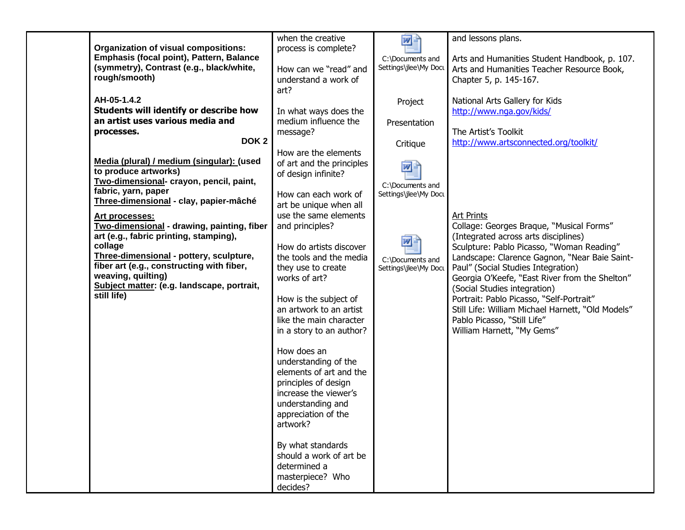|                                             | when the creative         | 网目                    | and lessons plans.                                |
|---------------------------------------------|---------------------------|-----------------------|---------------------------------------------------|
| <b>Organization of visual compositions:</b> | process is complete?      |                       |                                                   |
| Emphasis (focal point), Pattern, Balance    |                           | C:\Documents and      | Arts and Humanities Student Handbook, p. 107.     |
| (symmetry), Contrast (e.g., black/white,    |                           | Settings\jlee\My Docu |                                                   |
|                                             | How can we "read" and     |                       | Arts and Humanities Teacher Resource Book,        |
| rough/smooth)                               | understand a work of      |                       | Chapter 5, p. 145-167.                            |
|                                             | art?                      |                       |                                                   |
| AH-05-1.4.2                                 |                           | Project               | National Arts Gallery for Kids                    |
| Students will identify or describe how      | In what ways does the     |                       | http://www.nga.gov/kids/                          |
| an artist uses various media and            | medium influence the      |                       |                                                   |
|                                             |                           | Presentation          |                                                   |
| processes.                                  | message?                  |                       | The Artist's Toolkit                              |
| DOK <sub>2</sub>                            |                           | Critique              | http://www.artsconnected.org/toolkit/             |
|                                             | How are the elements      |                       |                                                   |
| Media (plural) / medium (singular): (used   | of art and the principles | $\mathbf{w}$ .        |                                                   |
| to produce artworks)                        | of design infinite?       |                       |                                                   |
| Two-dimensional- crayon, pencil, paint,     |                           | C:\Documents and      |                                                   |
| fabric, yarn, paper                         | How can each work of      | Settings\jlee\My Docu |                                                   |
| Three-dimensional - clay, papier-mâché      |                           |                       |                                                   |
|                                             | art be unique when all    |                       |                                                   |
| Art processes:                              | use the same elements     |                       | <b>Art Prints</b>                                 |
| Two-dimensional - drawing, painting, fiber  | and principles?           |                       | Collage: Georges Braque, "Musical Forms"          |
| art (e.g., fabric printing, stamping),      |                           |                       | (Integrated across arts disciplines)              |
| collage                                     | How do artists discover   |                       | Sculpture: Pablo Picasso, "Woman Reading"         |
| Three-dimensional - pottery, sculpture,     | the tools and the media   |                       | Landscape: Clarence Gagnon, "Near Baie Saint-     |
| fiber art (e.g., constructing with fiber,   | they use to create        | C:\Documents and      | Paul" (Social Studies Integration)                |
| weaving, quilting)                          |                           | Settings\jlee\My Docu |                                                   |
| Subject matter: (e.g. landscape, portrait,  | works of art?             |                       | Georgia O'Keefe, "East River from the Shelton"    |
| still life)                                 |                           |                       | (Social Studies integration)                      |
|                                             | How is the subject of     |                       | Portrait: Pablo Picasso, "Self-Portrait"          |
|                                             | an artwork to an artist   |                       | Still Life: William Michael Harnett, "Old Models" |
|                                             | like the main character   |                       | Pablo Picasso, "Still Life"                       |
|                                             | in a story to an author?  |                       | William Harnett, "My Gems"                        |
|                                             |                           |                       |                                                   |
|                                             | How does an               |                       |                                                   |
|                                             |                           |                       |                                                   |
|                                             | understanding of the      |                       |                                                   |
|                                             | elements of art and the   |                       |                                                   |
|                                             | principles of design      |                       |                                                   |
|                                             | increase the viewer's     |                       |                                                   |
|                                             | understanding and         |                       |                                                   |
|                                             | appreciation of the       |                       |                                                   |
|                                             | artwork?                  |                       |                                                   |
|                                             |                           |                       |                                                   |
|                                             |                           |                       |                                                   |
|                                             | By what standards         |                       |                                                   |
|                                             | should a work of art be   |                       |                                                   |
|                                             | determined a              |                       |                                                   |
|                                             | masterpiece? Who          |                       |                                                   |
|                                             | decides?                  |                       |                                                   |
|                                             |                           |                       |                                                   |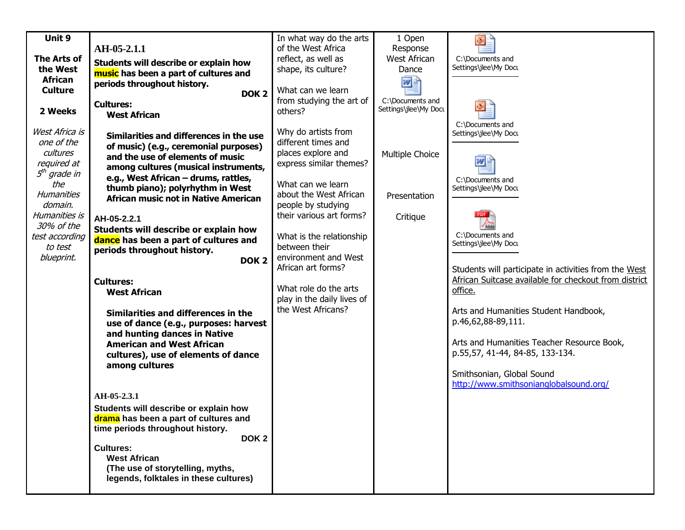| Unit 9             |                                                                          | In what way do the arts                    | 1 Open                                    | $\overline{\odot}$                                               |
|--------------------|--------------------------------------------------------------------------|--------------------------------------------|-------------------------------------------|------------------------------------------------------------------|
|                    | AH-05-2.1.1                                                              | of the West Africa                         | Response                                  |                                                                  |
| <b>The Arts of</b> | Students will describe or explain how                                    | reflect, as well as                        | West African                              | C:\Documents and                                                 |
| the West           | music has been a part of cultures and                                    | shape, its culture?                        | Dance                                     | Settings\jlee\My Docu                                            |
| <b>African</b>     | periods throughout history.                                              |                                            | 网目                                        |                                                                  |
| <b>Culture</b>     | DOK <sub>2</sub>                                                         | What can we learn                          |                                           |                                                                  |
|                    | <b>Cultures:</b>                                                         | from studying the art of                   | C:\Documents and<br>Settings\jlee\My Docu |                                                                  |
| 2 Weeks            | <b>West African</b>                                                      | others?                                    |                                           |                                                                  |
| West Africa is     |                                                                          | Why do artists from                        |                                           | C:\Documents and                                                 |
| one of the         | Similarities and differences in the use                                  | different times and                        |                                           | Settings\jlee\My Docu                                            |
| cultures           | of music) (e.g., ceremonial purposes)                                    | places explore and                         | Multiple Choice                           |                                                                  |
| required at        | and the use of elements of music                                         | express similar themes?                    |                                           |                                                                  |
| $5th$ grade in     | among cultures (musical instruments,                                     |                                            |                                           |                                                                  |
| the                | e.g., West African - drums, rattles,<br>thumb piano); polyrhythm in West | What can we learn                          |                                           | C:\Documents and<br>Settings\jlee\My Docu                        |
| <b>Humanities</b>  | <b>African music not in Native American</b>                              | about the West African                     | Presentation                              |                                                                  |
| domain.            |                                                                          | people by studying                         |                                           |                                                                  |
| Humanities is      | AH-05-2.2.1                                                              | their various art forms?                   | Critique                                  |                                                                  |
| 30% of the         | Students will describe or explain how                                    |                                            |                                           |                                                                  |
| test according     | dance has been a part of cultures and                                    | What is the relationship                   |                                           | C:\Documents and<br>Settings\jlee\My Docu                        |
| to test            | periods throughout history.                                              | between their                              |                                           |                                                                  |
| blueprint.         | DOK <sub>2</sub>                                                         | environment and West<br>African art forms? |                                           |                                                                  |
|                    |                                                                          |                                            |                                           | Students will participate in activities from the West            |
|                    | <b>Cultures:</b>                                                         | What role do the arts                      |                                           | African Suitcase available for checkout from district<br>office. |
|                    | <b>West African</b>                                                      | play in the daily lives of                 |                                           |                                                                  |
|                    |                                                                          | the West Africans?                         |                                           | Arts and Humanities Student Handbook,                            |
|                    | Similarities and differences in the                                      |                                            |                                           | p.46,62,88-89,111.                                               |
|                    | use of dance (e.g., purposes: harvest<br>and hunting dances in Native    |                                            |                                           |                                                                  |
|                    | <b>American and West African</b>                                         |                                            |                                           | Arts and Humanities Teacher Resource Book,                       |
|                    | cultures), use of elements of dance                                      |                                            |                                           | p.55,57, 41-44, 84-85, 133-134.                                  |
|                    | among cultures                                                           |                                            |                                           |                                                                  |
|                    |                                                                          |                                            |                                           | Smithsonian, Global Sound                                        |
|                    |                                                                          |                                            |                                           | http://www.smithsonianglobalsound.org/                           |
|                    | AH-05-2.3.1                                                              |                                            |                                           |                                                                  |
|                    | Students will describe or explain how                                    |                                            |                                           |                                                                  |
|                    | drama has been a part of cultures and                                    |                                            |                                           |                                                                  |
|                    | time periods throughout history.                                         |                                            |                                           |                                                                  |
|                    | DOK <sub>2</sub>                                                         |                                            |                                           |                                                                  |
|                    | <b>Cultures:</b><br><b>West African</b>                                  |                                            |                                           |                                                                  |
|                    | (The use of storytelling, myths,                                         |                                            |                                           |                                                                  |
|                    | legends, folktales in these cultures)                                    |                                            |                                           |                                                                  |
|                    |                                                                          |                                            |                                           |                                                                  |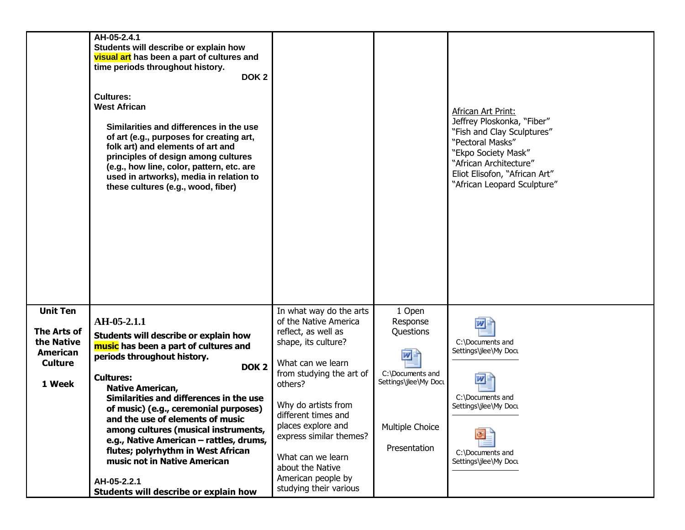|                                                                                      | AH-05-2.4.1<br>Students will describe or explain how<br>visual art has been a part of cultures and<br>time periods throughout history.<br>DOK <sub>2</sub><br><b>Cultures:</b><br><b>West African</b><br>Similarities and differences in the use<br>of art (e.g., purposes for creating art,<br>folk art) and elements of art and<br>principles of design among cultures<br>(e.g., how line, color, pattern, etc. are<br>used in artworks), media in relation to<br>these cultures (e.g., wood, fiber) |                                                                                                                                                                                                                                                                                                                          |                                                                                                                       | African Art Print:<br>Jeffrey Ploskonka, "Fiber"<br>"Fish and Clay Sculptures"<br>"Pectoral Masks"<br>"Ekpo Society Mask"<br>"African Architecture"<br>Eliot Elisofon, "African Art"<br>"African Leopard Sculpture" |
|--------------------------------------------------------------------------------------|--------------------------------------------------------------------------------------------------------------------------------------------------------------------------------------------------------------------------------------------------------------------------------------------------------------------------------------------------------------------------------------------------------------------------------------------------------------------------------------------------------|--------------------------------------------------------------------------------------------------------------------------------------------------------------------------------------------------------------------------------------------------------------------------------------------------------------------------|-----------------------------------------------------------------------------------------------------------------------|---------------------------------------------------------------------------------------------------------------------------------------------------------------------------------------------------------------------|
| <b>Unit Ten</b><br>The Arts of<br>the Native<br>American<br><b>Culture</b><br>1 Week | AH-05-2.1.1<br>Students will describe or explain how<br>music has been a part of cultures and<br>periods throughout history.<br>DOK <sub>2</sub><br><b>Cultures:</b><br><b>Native American,</b><br>Similarities and differences in the use<br>of music) (e.g., ceremonial purposes)<br>and the use of elements of music<br>among cultures (musical instruments,<br>e.g., Native American - rattles, drums,<br>flutes; polyrhythm in West African<br>music not in Native American<br>AH-05-2.2.1        | In what way do the arts<br>of the Native America<br>reflect, as well as<br>shape, its culture?<br>What can we learn<br>from studying the art of<br>others?<br>Why do artists from<br>different times and<br>places explore and<br>express similar themes?<br>What can we learn<br>about the Native<br>American people by | 1 Open<br>Response<br>Questions<br>™≝<br>C:\Documents and<br>Settings\jlee\My Docu<br>Multiple Choice<br>Presentation | W<br>C:\Documents and<br>Settings\jlee\My Docu<br>W<br>C:\Documents and<br>Settings\jlee\My Docu<br>C:\Documents and<br>Settings\jlee\My Docu                                                                       |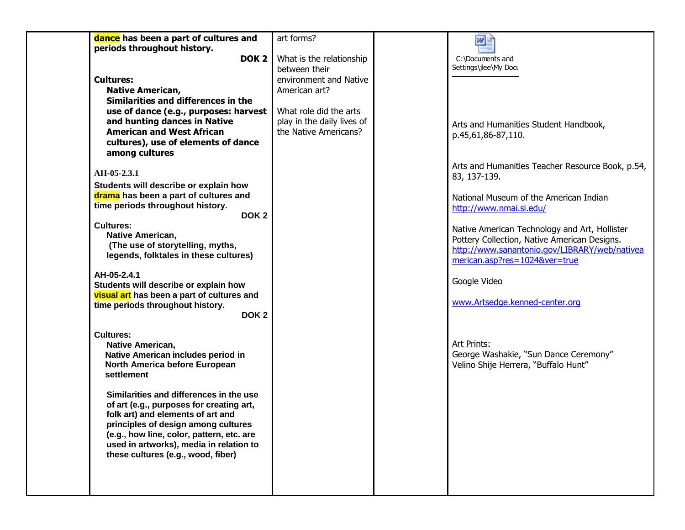| dance has been a part of cultures and                                            | art forms?                                | 四目                                                                                            |
|----------------------------------------------------------------------------------|-------------------------------------------|-----------------------------------------------------------------------------------------------|
| periods throughout history.<br>DOK <sub>2</sub>                                  |                                           |                                                                                               |
|                                                                                  | What is the relationship<br>between their | C:\Documents and<br>Settings\jlee\My Docu                                                     |
| <b>Cultures:</b>                                                                 | environment and Native                    |                                                                                               |
| <b>Native American,</b>                                                          | American art?                             |                                                                                               |
| Similarities and differences in the                                              |                                           |                                                                                               |
| use of dance (e.g., purposes: harvest                                            | What role did the arts                    |                                                                                               |
| and hunting dances in Native                                                     | play in the daily lives of                | Arts and Humanities Student Handbook,                                                         |
| <b>American and West African</b>                                                 | the Native Americans?                     | p.45,61,86-87,110.                                                                            |
| cultures), use of elements of dance                                              |                                           |                                                                                               |
| among cultures                                                                   |                                           |                                                                                               |
|                                                                                  |                                           | Arts and Humanities Teacher Resource Book, p.54,                                              |
| AH-05-2.3.1                                                                      |                                           | 83, 137-139.                                                                                  |
| Students will describe or explain how                                            |                                           |                                                                                               |
| drama has been a part of cultures and<br>time periods throughout history.        |                                           | National Museum of the American Indian                                                        |
| DOK <sub>2</sub>                                                                 |                                           | http://www.nmai.si.edu/                                                                       |
| <b>Cultures:</b>                                                                 |                                           |                                                                                               |
| Native American,                                                                 |                                           | Native American Technology and Art, Hollister<br>Pottery Collection, Native American Designs. |
| (The use of storytelling, myths,                                                 |                                           | http://www.sanantonio.gov/LIBRARY/web/nativea                                                 |
| legends, folktales in these cultures)                                            |                                           | merican.asp?res=1024&ver=true                                                                 |
|                                                                                  |                                           |                                                                                               |
| AH-05-2.4.1<br>Students will describe or explain how                             |                                           | Google Video                                                                                  |
| visual art has been a part of cultures and                                       |                                           |                                                                                               |
| time periods throughout history.                                                 |                                           | www.Artsedge.kenned-center.org                                                                |
| DOK <sub>2</sub>                                                                 |                                           |                                                                                               |
|                                                                                  |                                           |                                                                                               |
| <b>Cultures:</b>                                                                 |                                           |                                                                                               |
| <b>Native American,</b><br>Native American includes period in                    |                                           | Art Prints:<br>George Washakie, "Sun Dance Ceremony"                                          |
| North America before European                                                    |                                           | Velino Shije Herrera, "Buffalo Hunt"                                                          |
| settlement                                                                       |                                           |                                                                                               |
|                                                                                  |                                           |                                                                                               |
| Similarities and differences in the use                                          |                                           |                                                                                               |
| of art (e.g., purposes for creating art,                                         |                                           |                                                                                               |
| folk art) and elements of art and                                                |                                           |                                                                                               |
| principles of design among cultures<br>(e.g., how line, color, pattern, etc. are |                                           |                                                                                               |
| used in artworks), media in relation to                                          |                                           |                                                                                               |
| these cultures (e.g., wood, fiber)                                               |                                           |                                                                                               |
|                                                                                  |                                           |                                                                                               |
|                                                                                  |                                           |                                                                                               |
|                                                                                  |                                           |                                                                                               |
|                                                                                  |                                           |                                                                                               |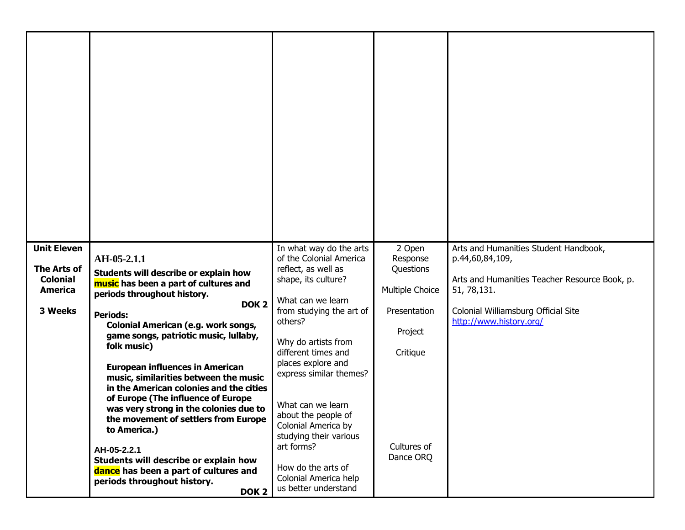| <b>Unit Eleven</b>             | AH-05-2.1.1                                                                      | In what way do the arts<br>of the Colonial America | 2 Open<br>Response       | Arts and Humanities Student Handbook,<br>p.44,60,84,109, |
|--------------------------------|----------------------------------------------------------------------------------|----------------------------------------------------|--------------------------|----------------------------------------------------------|
| The Arts of<br><b>Colonial</b> | Students will describe or explain how                                            | reflect, as well as<br>shape, its culture?         | Questions                | Arts and Humanities Teacher Resource Book, p.            |
| <b>America</b>                 | music has been a part of cultures and<br>periods throughout history.             |                                                    | Multiple Choice          | 51, 78, 131.                                             |
| 3 Weeks                        | DOK <sub>2</sub><br><b>Periods:</b>                                              | What can we learn<br>from studying the art of      | Presentation             | Colonial Williamsburg Official Site                      |
|                                | Colonial American (e.g. work songs,<br>game songs, patriotic music, lullaby,     | others?                                            | Project                  | http://www.history.org/                                  |
|                                | folk music)                                                                      | Why do artists from<br>different times and         | Critique                 |                                                          |
|                                | <b>European influences in American</b>                                           | places explore and                                 |                          |                                                          |
|                                | music, similarities between the music<br>in the American colonies and the cities | express similar themes?                            |                          |                                                          |
|                                | of Europe (The influence of Europe                                               | What can we learn                                  |                          |                                                          |
|                                | was very strong in the colonies due to<br>the movement of settlers from Europe   | about the people of                                |                          |                                                          |
|                                | to America.)                                                                     | Colonial America by<br>studying their various      |                          |                                                          |
|                                | AH-05-2.2.1                                                                      | art forms?                                         | Cultures of<br>Dance ORQ |                                                          |
|                                | Students will describe or explain how<br>dance has been a part of cultures and   | How do the arts of                                 |                          |                                                          |
|                                | periods throughout history.<br>DOK <sub>2</sub>                                  | Colonial America help<br>us better understand      |                          |                                                          |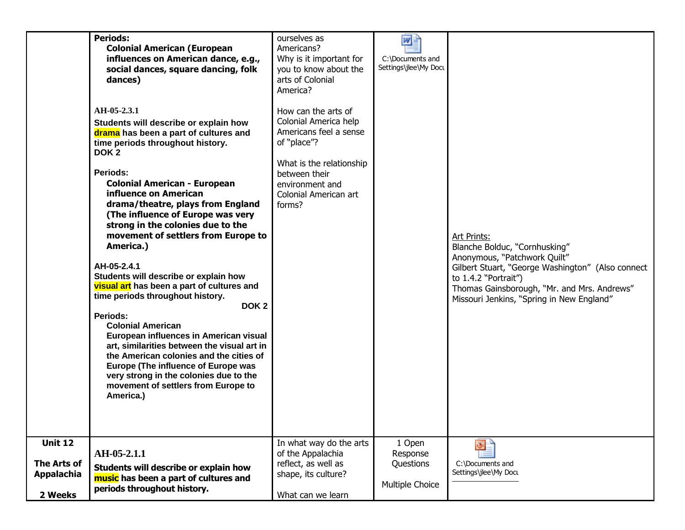|                                                                      | <b>Periods:</b><br><b>Colonial American (European</b><br>influences on American dance, e.g.,<br>social dances, square dancing, folk<br>dances)<br>AH-05-2.3.1<br>Students will describe or explain how<br>drama has been a part of cultures and<br>time periods throughout history.<br>DOK <sub>2</sub><br>Periods:<br><b>Colonial American - European</b><br>influence on American<br>drama/theatre, plays from England<br>(The influence of Europe was very<br>strong in the colonies due to the<br>movement of settlers from Europe to<br>America.)<br>AH-05-2.4.1<br>Students will describe or explain how<br>visual art has been a part of cultures and<br>time periods throughout history.<br>DOK <sub>2</sub><br>Periods:<br><b>Colonial American</b><br>European influences in American visual<br>art, similarities between the visual art in<br>the American colonies and the cities of<br>Europe (The influence of Europe was<br>very strong in the colonies due to the<br>movement of settlers from Europe to<br>America.) | ourselves as<br>Americans?<br>Why is it important for<br>you to know about the<br>arts of Colonial<br>America?<br>How can the arts of<br>Colonial America help<br>Americans feel a sense<br>of "place"?<br>What is the relationship<br>between their<br>environment and<br>Colonial American art<br>forms? | w <br>C:\Documents and<br>Settings\jlee\My Docu    | <b>Art Prints:</b><br>Blanche Bolduc, "Cornhusking"<br>Anonymous, "Patchwork Quilt"<br>Gilbert Stuart, "George Washington" (Also connect<br>to 1.4.2 "Portrait")<br>Thomas Gainsborough, "Mr. and Mrs. Andrews"<br>Missouri Jenkins, "Spring in New England" |
|----------------------------------------------------------------------|---------------------------------------------------------------------------------------------------------------------------------------------------------------------------------------------------------------------------------------------------------------------------------------------------------------------------------------------------------------------------------------------------------------------------------------------------------------------------------------------------------------------------------------------------------------------------------------------------------------------------------------------------------------------------------------------------------------------------------------------------------------------------------------------------------------------------------------------------------------------------------------------------------------------------------------------------------------------------------------------------------------------------------------|------------------------------------------------------------------------------------------------------------------------------------------------------------------------------------------------------------------------------------------------------------------------------------------------------------|----------------------------------------------------|--------------------------------------------------------------------------------------------------------------------------------------------------------------------------------------------------------------------------------------------------------------|
|                                                                      |                                                                                                                                                                                                                                                                                                                                                                                                                                                                                                                                                                                                                                                                                                                                                                                                                                                                                                                                                                                                                                       |                                                                                                                                                                                                                                                                                                            |                                                    |                                                                                                                                                                                                                                                              |
| <b>Unit 12</b><br><b>The Arts of</b><br><b>Appalachia</b><br>2 Weeks | AH-05-2.1.1<br>Students will describe or explain how<br>music has been a part of cultures and<br>periods throughout history.                                                                                                                                                                                                                                                                                                                                                                                                                                                                                                                                                                                                                                                                                                                                                                                                                                                                                                          | In what way do the arts<br>of the Appalachia<br>reflect, as well as<br>shape, its culture?<br>What can we learn                                                                                                                                                                                            | 1 Open<br>Response<br>Questions<br>Multiple Choice | œ<br>C:\Documents and<br>Settings\jlee\My Docu                                                                                                                                                                                                               |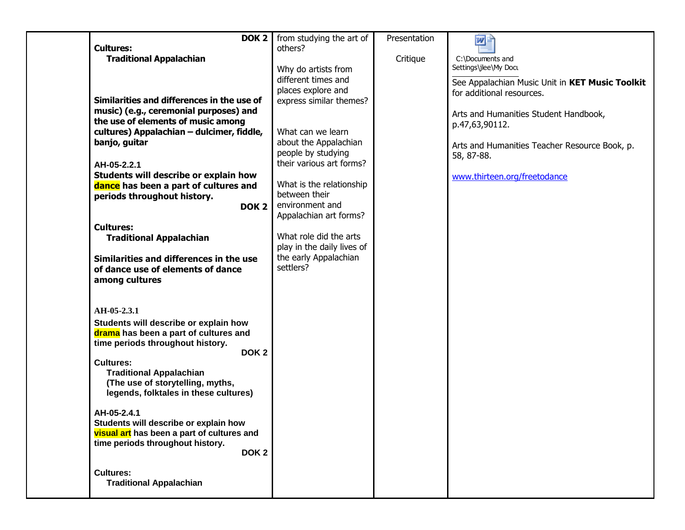| DOK <sub>2</sub>                                                                    | from studying the art of                      | Presentation | 四目                                              |
|-------------------------------------------------------------------------------------|-----------------------------------------------|--------------|-------------------------------------------------|
| <b>Cultures:</b>                                                                    | others?                                       |              |                                                 |
| <b>Traditional Appalachian</b>                                                      |                                               | Critique     | C:\Documents and                                |
|                                                                                     | Why do artists from                           |              | Settings\jlee\My Docu                           |
|                                                                                     | different times and                           |              | See Appalachian Music Unit in KET Music Toolkit |
| Similarities and differences in the use of                                          | places explore and<br>express similar themes? |              | for additional resources.                       |
| music) (e.g., ceremonial purposes) and                                              |                                               |              |                                                 |
| the use of elements of music among                                                  |                                               |              | Arts and Humanities Student Handbook,           |
| cultures) Appalachian - dulcimer, fiddle,                                           | What can we learn                             |              | p.47,63,90112.                                  |
| banjo, guitar                                                                       | about the Appalachian                         |              | Arts and Humanities Teacher Resource Book, p.   |
|                                                                                     | people by studying                            |              | 58, 87-88.                                      |
| AH-05-2.2.1                                                                         | their various art forms?                      |              |                                                 |
| Students will describe or explain how                                               |                                               |              | www.thirteen.org/freetodance                    |
| dance has been a part of cultures and                                               | What is the relationship                      |              |                                                 |
| periods throughout history.                                                         | between their                                 |              |                                                 |
| DOK <sub>2</sub>                                                                    | environment and                               |              |                                                 |
|                                                                                     | Appalachian art forms?                        |              |                                                 |
| <b>Cultures:</b>                                                                    | What role did the arts                        |              |                                                 |
| <b>Traditional Appalachian</b>                                                      | play in the daily lives of                    |              |                                                 |
| Similarities and differences in the use                                             | the early Appalachian                         |              |                                                 |
| of dance use of elements of dance                                                   | settlers?                                     |              |                                                 |
| among cultures                                                                      |                                               |              |                                                 |
|                                                                                     |                                               |              |                                                 |
|                                                                                     |                                               |              |                                                 |
| AH-05-2.3.1                                                                         |                                               |              |                                                 |
| Students will describe or explain how                                               |                                               |              |                                                 |
| drama has been a part of cultures and                                               |                                               |              |                                                 |
| time periods throughout history.<br>DOK <sub>2</sub>                                |                                               |              |                                                 |
| <b>Cultures:</b>                                                                    |                                               |              |                                                 |
| <b>Traditional Appalachian</b>                                                      |                                               |              |                                                 |
| (The use of storytelling, myths,                                                    |                                               |              |                                                 |
| legends, folktales in these cultures)                                               |                                               |              |                                                 |
|                                                                                     |                                               |              |                                                 |
| AH-05-2.4.1                                                                         |                                               |              |                                                 |
| Students will describe or explain how<br>visual art has been a part of cultures and |                                               |              |                                                 |
| time periods throughout history.                                                    |                                               |              |                                                 |
| DOK <sub>2</sub>                                                                    |                                               |              |                                                 |
|                                                                                     |                                               |              |                                                 |
| <b>Cultures:</b>                                                                    |                                               |              |                                                 |
| <b>Traditional Appalachian</b>                                                      |                                               |              |                                                 |
|                                                                                     |                                               |              |                                                 |